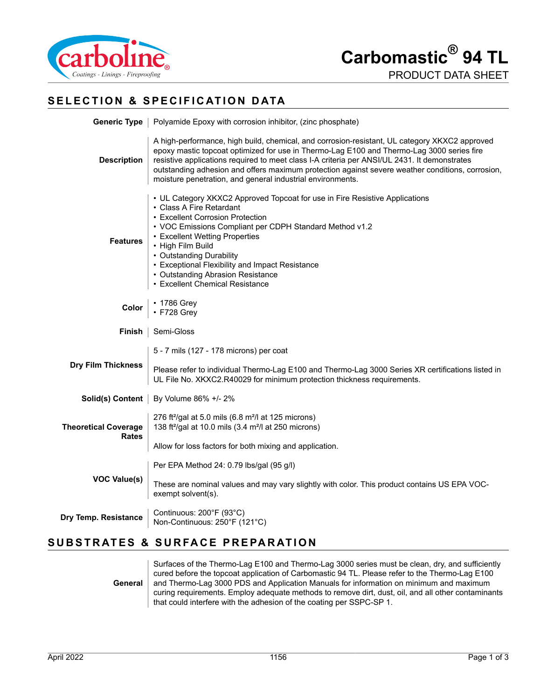



## **SELECTION & SPECIFICATION DATA**

|                                      | <b>Generic Type</b>   Polyamide Epoxy with corrosion inhibitor, (zinc phosphate)                                                                                                                                                                                                                                                                                                                                                                             |
|--------------------------------------|--------------------------------------------------------------------------------------------------------------------------------------------------------------------------------------------------------------------------------------------------------------------------------------------------------------------------------------------------------------------------------------------------------------------------------------------------------------|
| <b>Description</b>                   | A high-performance, high build, chemical, and corrosion-resistant, UL category XKXC2 approved<br>epoxy mastic topcoat optimized for use in Thermo-Lag E100 and Thermo-Lag 3000 series fire<br>resistive applications required to meet class I-A criteria per ANSI/UL 2431. It demonstrates<br>outstanding adhesion and offers maximum protection against severe weather conditions, corrosion,<br>moisture penetration, and general industrial environments. |
| <b>Features</b>                      | • UL Category XKXC2 Approved Topcoat for use in Fire Resistive Applications<br>• Class A Fire Retardant<br>• Excellent Corrosion Protection<br>• VOC Emissions Compliant per CDPH Standard Method v1.2<br>• Excellent Wetting Properties<br>• High Film Build<br>• Outstanding Durability<br>• Exceptional Flexibility and Impact Resistance<br>• Outstanding Abrasion Resistance<br>• Excellent Chemical Resistance                                         |
| Color                                | • 1786 Grey<br>• F728 Grey                                                                                                                                                                                                                                                                                                                                                                                                                                   |
| Finish                               | Semi-Gloss                                                                                                                                                                                                                                                                                                                                                                                                                                                   |
| <b>Dry Film Thickness</b>            | 5 - 7 mils (127 - 178 microns) per coat<br>Please refer to individual Thermo-Lag E100 and Thermo-Lag 3000 Series XR certifications listed in<br>UL File No. XKXC2.R40029 for minimum protection thickness requirements.                                                                                                                                                                                                                                      |
|                                      | Solid(s) Content   By Volume 86% +/- 2%                                                                                                                                                                                                                                                                                                                                                                                                                      |
| <b>Theoretical Coverage</b><br>Rates | 276 ft <sup>2</sup> /gal at 5.0 mils (6.8 m <sup>2</sup> /l at 125 microns)<br>138 ft <sup>2</sup> /gal at 10.0 mils (3.4 m <sup>2</sup> /l at 250 microns)                                                                                                                                                                                                                                                                                                  |
|                                      | Allow for loss factors for both mixing and application.                                                                                                                                                                                                                                                                                                                                                                                                      |
|                                      | Per EPA Method 24: 0.79 lbs/gal (95 g/l)                                                                                                                                                                                                                                                                                                                                                                                                                     |
| <b>VOC Value(s)</b>                  | These are nominal values and may vary slightly with color. This product contains US EPA VOC-<br>exempt solvent(s).                                                                                                                                                                                                                                                                                                                                           |
| Dry Temp. Resistance                 | Continuous: 200°F (93°C)<br>Non-Continuous: 250°F (121°C)                                                                                                                                                                                                                                                                                                                                                                                                    |

## **SUBSTRATES & SURFACE PREPARATION**

**General** Surfaces of the Thermo-Lag E100 and Thermo-Lag 3000 series must be clean, dry, and sufficiently cured before the topcoat application of Carbomastic 94 TL. Please refer to the Thermo-Lag E100 and Thermo-Lag 3000 PDS and Application Manuals for information on minimum and maximum curing requirements. Employ adequate methods to remove dirt, dust, oil, and all other contaminants that could interfere with the adhesion of the coating per SSPC-SP 1.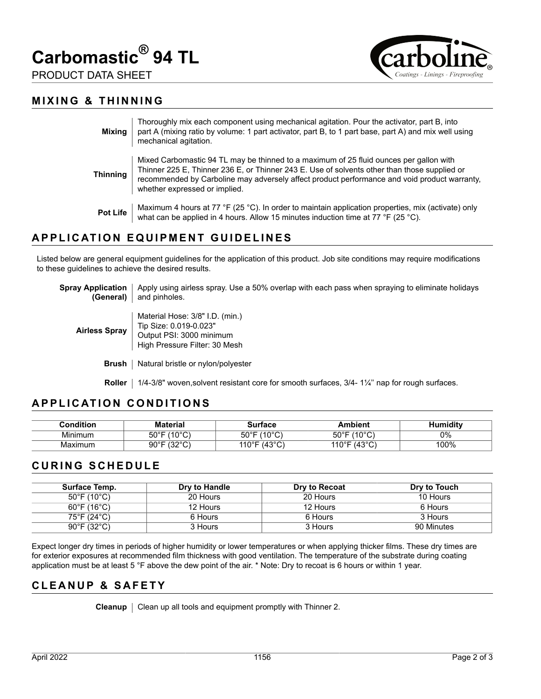





#### **MIXING & THINNING**

| Mixing          | Thoroughly mix each component using mechanical agitation. Pour the activator, part B, into<br>part A (mixing ratio by volume: 1 part activator, part B, to 1 part base, part A) and mix well using<br>mechanical agitation.                                                                                             |
|-----------------|-------------------------------------------------------------------------------------------------------------------------------------------------------------------------------------------------------------------------------------------------------------------------------------------------------------------------|
| Thinning        | Mixed Carbomastic 94 TL may be thinned to a maximum of 25 fluid ounces per gallon with<br>Thinner 225 E, Thinner 236 E, or Thinner 243 E. Use of solvents other than those supplied or<br>recommended by Carboline may adversely affect product performance and void product warranty,<br>whether expressed or implied. |
| <b>Pot Life</b> | Maximum 4 hours at 77 °F (25 °C). In order to maintain application properties, mix (activate) only<br>what can be applied in 4 hours. Allow 15 minutes induction time at 77 °F (25 °C).                                                                                                                                 |

### **APPLICATION EQUIPMENT GUIDELINES**

Listed below are general equipment guidelines for the application of this product. Job site conditions may require modifications to these guidelines to achieve the desired results.

| Spray Application   Apply using airless spray. Use a 50% overlap with each pass when spraying to eliminate holidays<br><b>(General)</b> and pinholes. |
|-------------------------------------------------------------------------------------------------------------------------------------------------------|
|                                                                                                                                                       |

- **Airless Spray** Material Hose: 3/8" I.D. (min.) Tip Size: 0.019-0.023" Output PSI: 3000 minimum High Pressure Filter: 30 Mesh
	- **Brush** | Natural bristle or nylon/polyester

**Roller** | 1/4-3/8" woven,solvent resistant core for smooth surfaces, 3/4-1¼" nap for rough surfaces.

### **APPLICATION CONDITIONS**

| $\mathop{\mathsf{Condition}}$ | <b>Material</b>                    | Surtace                  | Ambient                          | Humiditv |
|-------------------------------|------------------------------------|--------------------------|----------------------------------|----------|
| Minimum                       | $(10^{\circ}$ C)<br>$50^{\circ}$ F | $50^{\circ}$ F<br>(10°C) | $50^{\circ}$ F (10 $^{\circ}$ C) | 0%       |
| Maximum                       | $90^{\circ}$ F (32 $^{\circ}$ C)   | 110°F (43°C)             | 110°F (43°C)                     | 100%     |

#### **CURING SCHEDULE**

| <b>Surface Temp.</b>             | Dry to Handle | Dry to Recoat | Dry to Touch |
|----------------------------------|---------------|---------------|--------------|
| $50^{\circ}$ F (10 $^{\circ}$ C) | 20 Hours      | 20 Hours      | 10 Hours     |
| $60^{\circ}$ F (16 $^{\circ}$ C) | 12 Hours      | 12 Hours      | 6 Hours      |
| 75°F (24°C)                      | 6 Hours       | 6 Hours       | 3 Hours      |
| $90^{\circ}$ F (32 $^{\circ}$ C) | 3 Hours       | 3 Hours       | 90 Minutes   |

Expect longer dry times in periods of higher humidity or lower temperatures or when applying thicker films. These dry times are for exterior exposures at recommended film thickness with good ventilation. The temperature of the substrate during coating application must be at least 5 °F above the dew point of the air. \* Note: Dry to recoat is 6 hours or within 1 year.

#### **CLEANUP & SAFETY**

**Cleanup** | Clean up all tools and equipment promptly with Thinner 2.